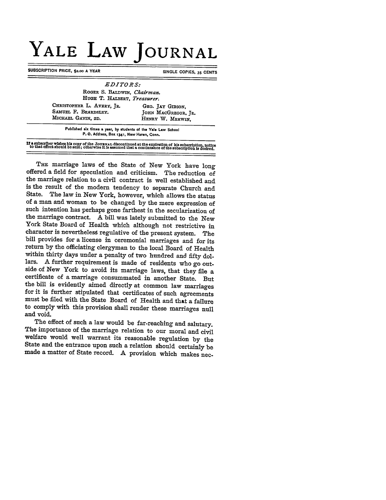## **YALE LAW JOURNAL**

**SUBSCRIPTION PRICE, \$2.00 A YEAR SINGLE COPIES, 35 CENTS** 

| <i>EDITORS:</i>                                                         |                                                             |
|-------------------------------------------------------------------------|-------------------------------------------------------------|
| ROGER S. BALDWIN, Chairman.<br>HUGH T. HALBERT, Treasurer.              |                                                             |
| CHRISTOPHER L. AVERY, JR.<br>SAMUEL F. BEARDSLEY.<br>MICHAEL GAVIN, 2D. | GEO. JAY GIBSON.<br>JOHN MACGREGOR, JR.<br>HENRY W. MERWIN. |

**Published six times a year, by students of the Yale Law School P.** *O.* **Address, Box 1341, New Haven, Conn.**

If a subscriber wishes his copy of the JOURNAL discontinued at the expiration of his subscription, notice<br>to that effect should be sent; otherwise it is assumed that a continuance of the subscription is desired.

**THE** marriage laws of the State of New York have long offered a field for speculation and criticism. The reduction of the marriage relation to a civil contract is well established and is the result of the modem tendency to separate Church and State. The law in New York, however, which allows the status of a man and woman to be changed **by** the mere expression of such intention has perhaps gone farthest in the secularization of the marriage contract. A bill was lately submitted to the New York State Board of Health which although not restrictive in character is neverthelesg regulative of the present system. The bill provides for a license in ceremonial marriages and for its return **by** the officiating clergyman to the local Board of Health within thirty days under a penalty of two hundred and fifty dollars. A further requirement is made of residents who go outside of New York to avoid its marriage laws, that they file a certificate of a marriage consummated in another State. But the bill is evidently aimed directly at common law marriages for it is further stipulated that certificates of such agreements must be filed with the State Board of Health and that a failure to comply with this provision shall render these marriages null and void.

The effect of such a law would be far-reaching and salutary. **The** importance of the marriage relation to our moral and civil welfare would well warrant its reasonable regulation **by** the State and the entrance upon such a relation should certainly be made a matter of State record. A provision which makes nec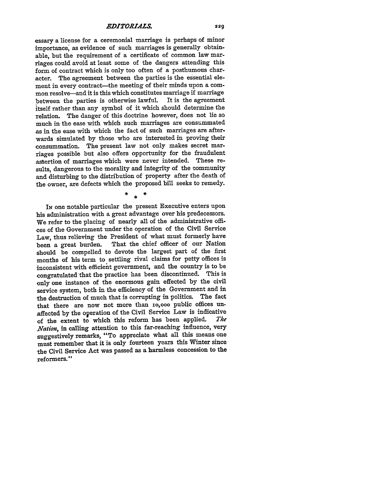essary a license for a ceremonial marriage is perhaps of minor importance, as evidence of such marriages is generally obtainable, but the requirement of a certificate of common law marriages could avoid at least some of the dangers attending this form of contract which is only too often of a posthumous character. The agreement between the parties is the essential element in every contract-the meeting of their minds upon a common resolve—and it is this which constitutes marriage if marriage<br>between the parties is otherwise lawful. It is the agreement between the parties is otherwise lawful. itself rather than any symbol of it which should determine the relation. The danger of this doctrine however, does not lie so much in the ease with which such marriages are consummated as in the ease with which the fact of such marriages are afterwards simulated by those who are interested in proving their consummation. The present law not only makes secret marriages possible but also offers opportunity for the fraudulent assertion of marriages which were never intended. These results, dangerous to the morality and integrity of the community and disturbing to the distribution of property after the death of the owner, are defects which the proposed bill seeks to remedy.

 $\ddot{\textbf{x}}$ 

IN one notable particular the present Executive enters upon his administration with a great advantage over his predecessors. We refer to the placing of nearly all of the administrative offices of the Government under the operation of the Civil Service Law, thus relieving the President of what must formerly have been a great burden. That the chief officer of our Nation That the chief officer of our Nation should be compelled to devote the largest part of the first months of his term to settling rival claims for petty offices is inconsistent with efficient government, and the country is to be congratulated that the practice has been discontinued. This is only one instance of the enormous gain effected by the civil service system, both in the efficiency of the Government and in the destruction of much that is corrupting in politics. The fact that there are now not more than io,ooo public offices unaffected by the operation of the Civil Service Law is indicative<br>of the extent to which this reform has been applied. The of the extent to which this reform has been applied. *Nation,* in calling attention to this far-reaching influence, very suggestively remarks, "To appreciate what all this means one must remember that it is only fourteen years this Winter since the Civil Service Act was passed as a harmless concession to the reformers."